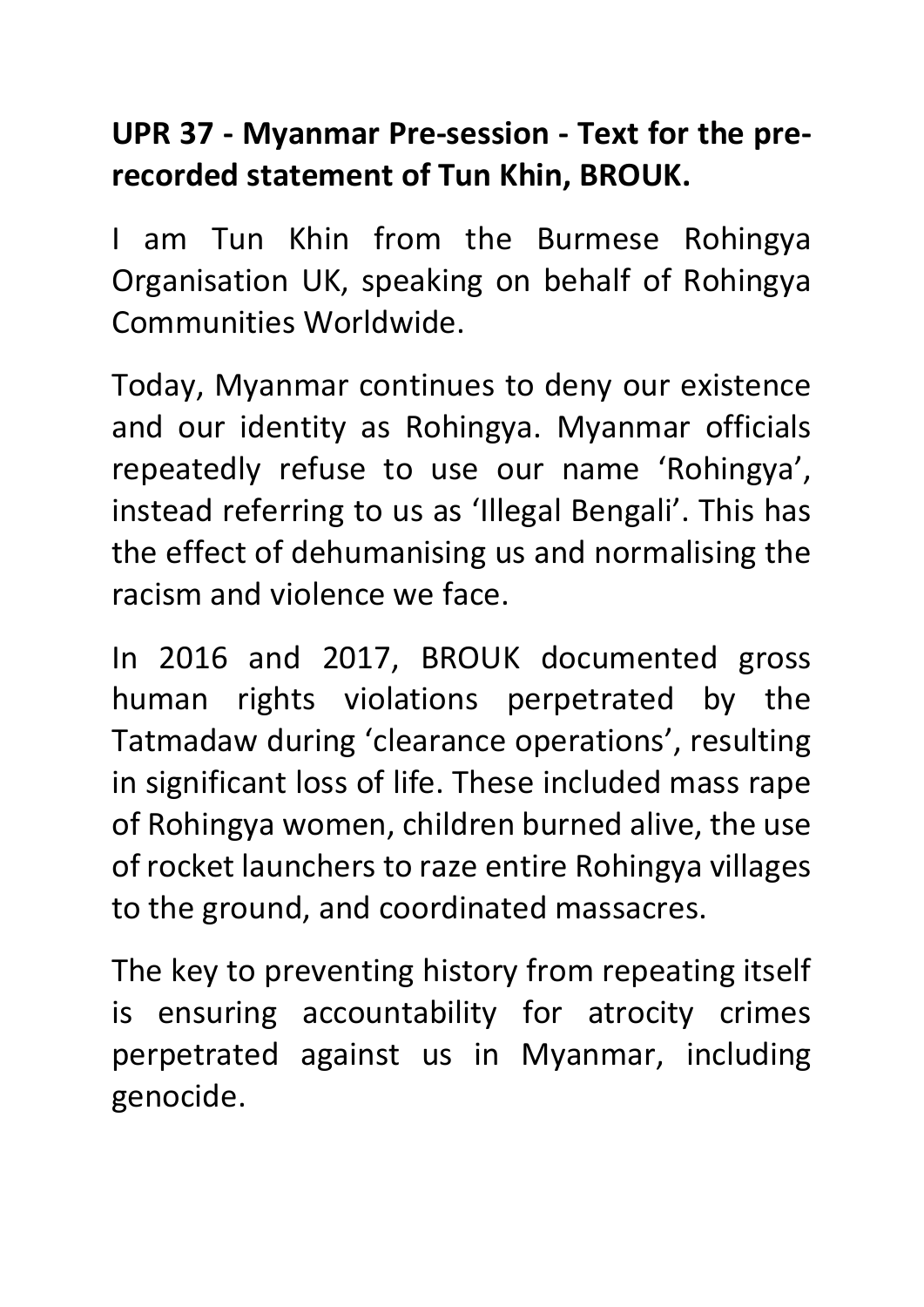## **UPR 37 - Myanmar Pre-session - Text for the prerecorded statement of Tun Khin, BROUK.**

I am Tun Khin from the Burmese Rohingya Organisation UK, speaking on behalf of Rohingya Communities Worldwide.

Today, Myanmar continues to deny our existence and our identity as Rohingya. Myanmar officials repeatedly refuse to use our name 'Rohingya', instead referring to us as 'Illegal Bengali'. This has the effect of dehumanising us and normalising the racism and violence we face.

In 2016 and 2017, BROUK documented gross human rights violations perpetrated by the Tatmadaw during 'clearance operations', resulting in significant loss of life. These included mass rape of Rohingya women, children burned alive, the use of rocket launchers to raze entire Rohingya villages to the ground, and coordinated massacres.

The key to preventing history from repeating itself is ensuring accountability for atrocity crimes perpetrated against us in Myanmar, including genocide.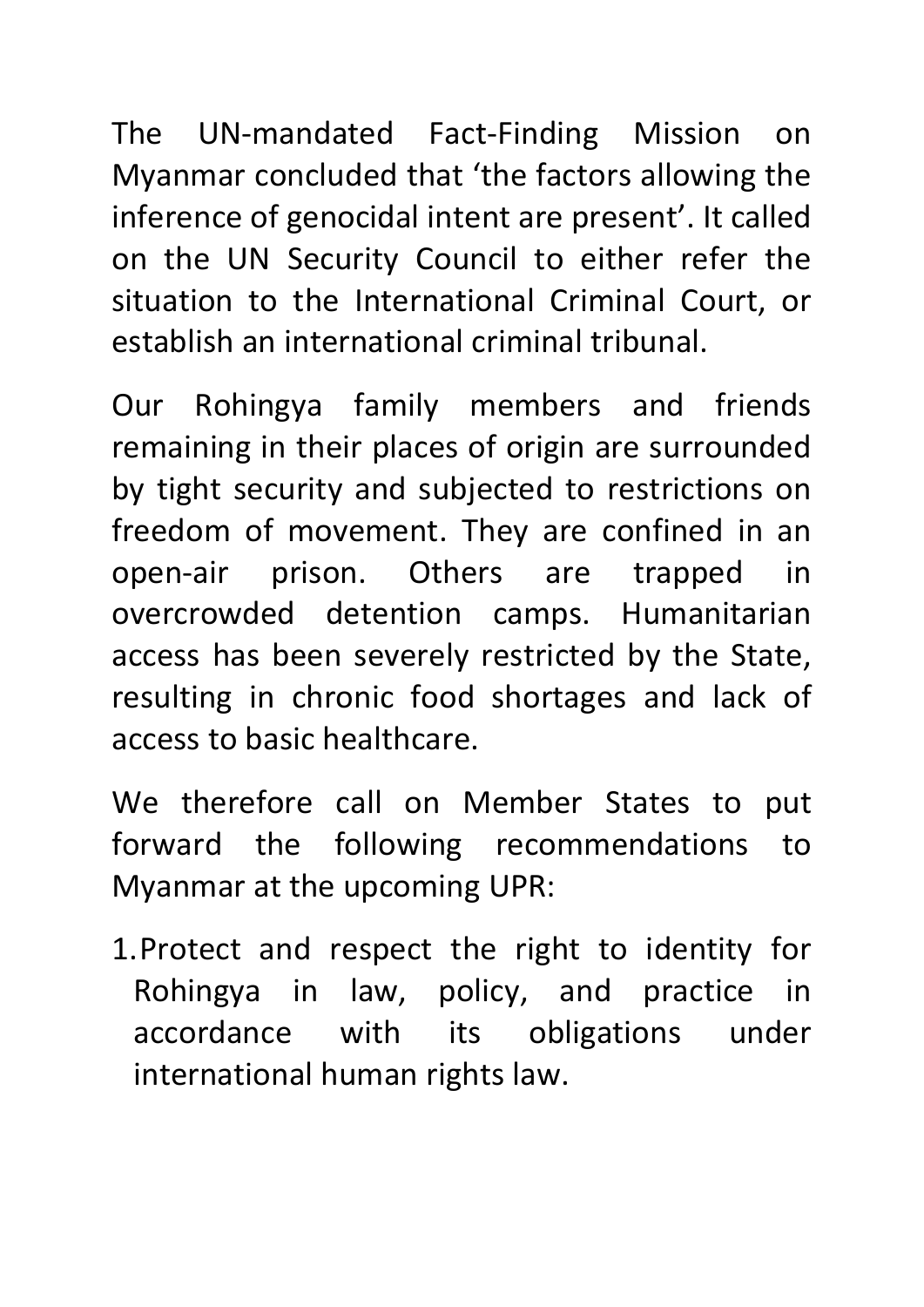The UN-mandated Fact-Finding Mission on Myanmar concluded that 'the factors allowing the inference of genocidal intent are present'. It called on the UN Security Council to either refer the situation to the International Criminal Court, or establish an international criminal tribunal.

Our Rohingya family members and friends remaining in their places of origin are surrounded by tight security and subjected to restrictions on freedom of movement. They are confined in an open-air prison. Others are trapped in overcrowded detention camps. Humanitarian access has been severely restricted by the State, resulting in chronic food shortages and lack of access to basic healthcare.

We therefore call on Member States to put forward the following recommendations to Myanmar at the upcoming UPR:

1.Protect and respect the right to identity for Rohingya in law, policy, and practice in accordance with its obligations under international human rights law.